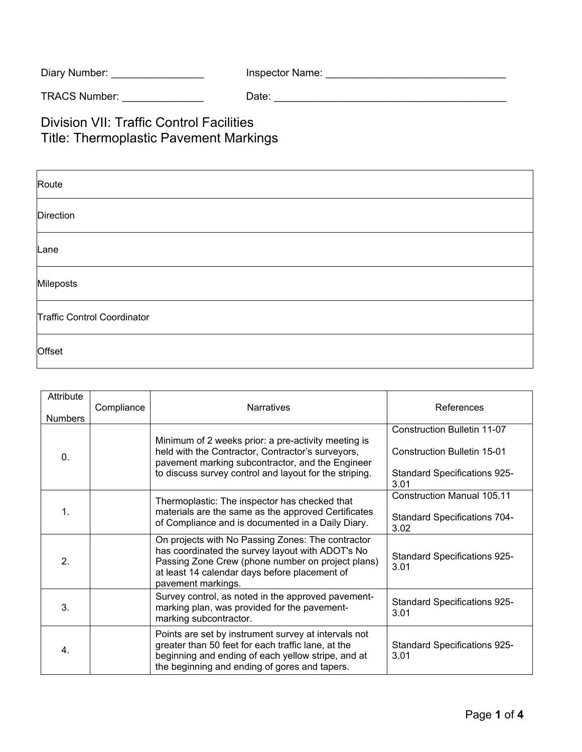| Diary Number: | Inspector Name: |  |
|---------------|-----------------|--|
|---------------|-----------------|--|

TRACS Number: \_\_\_\_\_\_\_\_\_\_\_\_\_\_ Date: \_\_\_\_\_\_\_\_\_\_\_\_\_\_\_\_\_\_\_\_\_\_\_\_\_\_\_\_\_\_\_\_\_\_\_\_\_\_\_\_

Division VII: Traffic Control Facilities Title: Thermoplastic Pavement Markings

| Route                       |
|-----------------------------|
| Direction                   |
| Lane                        |
| Mileposts                   |
| Traffic Control Coordinator |
| Offset                      |

| Attribute<br><b>Numbers</b> | Compliance | <b>Narratives</b>                                                                                                                                                                                                                 | References                                                                                                       |
|-----------------------------|------------|-----------------------------------------------------------------------------------------------------------------------------------------------------------------------------------------------------------------------------------|------------------------------------------------------------------------------------------------------------------|
| 0.                          |            | Minimum of 2 weeks prior: a pre-activity meeting is<br>held with the Contractor, Contractor's surveyors,<br>pavement marking subcontractor, and the Engineer<br>to discuss survey control and layout for the striping.            | <b>Construction Bulletin 11-07</b><br>Construction Bulletin 15-01<br><b>Standard Specifications 925-</b><br>3.01 |
| 1.                          |            | Thermoplastic: The inspector has checked that<br>materials are the same as the approved Certificates<br>of Compliance and is documented in a Daily Diary.                                                                         | <b>Construction Manual 105.11</b><br><b>Standard Specifications 704-</b><br>3.02                                 |
| 2.                          |            | On projects with No Passing Zones: The contractor<br>has coordinated the survey layout with ADOT's No<br>Passing Zone Crew (phone number on project plans)<br>at least 14 calendar days before placement of<br>pavement markings. | <b>Standard Specifications 925-</b><br>3.01                                                                      |
| 3.                          |            | Survey control, as noted in the approved pavement-<br>marking plan, was provided for the pavement-<br>marking subcontractor.                                                                                                      | <b>Standard Specifications 925-</b><br>3.01                                                                      |
| 4.                          |            | Points are set by instrument survey at intervals not<br>greater than 50 feet for each traffic lane, at the<br>beginning and ending of each yellow stripe, and at<br>the beginning and ending of gores and tapers.                 | <b>Standard Specifications 925-</b><br>3.01                                                                      |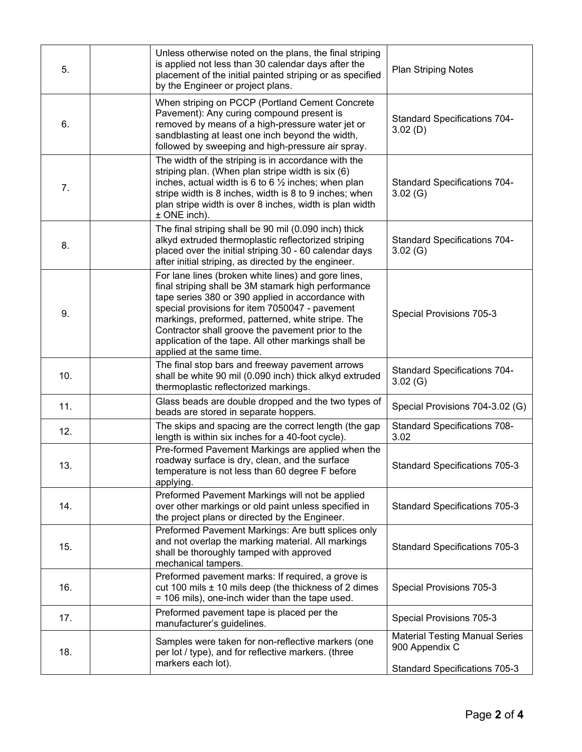| 5.  | Unless otherwise noted on the plans, the final striping<br>is applied not less than 30 calendar days after the<br>placement of the initial painted striping or as specified<br>by the Engineer or project plans.                                                                                                                                                                                                 | <b>Plan Striping Notes</b>                              |
|-----|------------------------------------------------------------------------------------------------------------------------------------------------------------------------------------------------------------------------------------------------------------------------------------------------------------------------------------------------------------------------------------------------------------------|---------------------------------------------------------|
| 6.  | When striping on PCCP (Portland Cement Concrete<br>Pavement): Any curing compound present is<br>removed by means of a high-pressure water jet or<br>sandblasting at least one inch beyond the width,<br>followed by sweeping and high-pressure air spray.                                                                                                                                                        | <b>Standard Specifications 704-</b><br>3.02(D)          |
| 7.  | The width of the striping is in accordance with the<br>striping plan. (When plan stripe width is six (6)<br>inches, actual width is 6 to 6 $\frac{1}{2}$ inches; when plan<br>stripe width is 8 inches, width is 8 to 9 inches; when<br>plan stripe width is over 8 inches, width is plan width<br>± ONE inch).                                                                                                  | <b>Standard Specifications 704-</b><br>3.02(G)          |
| 8.  | The final striping shall be 90 mil (0.090 inch) thick<br>alkyd extruded thermoplastic reflectorized striping<br>placed over the initial striping 30 - 60 calendar days<br>after initial striping, as directed by the engineer.                                                                                                                                                                                   | <b>Standard Specifications 704-</b><br>3.02(G)          |
| 9.  | For lane lines (broken white lines) and gore lines,<br>final striping shall be 3M stamark high performance<br>tape series 380 or 390 applied in accordance with<br>special provisions for item 7050047 - pavement<br>markings, preformed, patterned, white stripe. The<br>Contractor shall groove the pavement prior to the<br>application of the tape. All other markings shall be<br>applied at the same time. | Special Provisions 705-3                                |
| 10. | The final stop bars and freeway pavement arrows<br>shall be white 90 mil (0.090 inch) thick alkyd extruded<br>thermoplastic reflectorized markings.                                                                                                                                                                                                                                                              | <b>Standard Specifications 704-</b><br>3.02(G)          |
| 11. | Glass beads are double dropped and the two types of<br>beads are stored in separate hoppers.                                                                                                                                                                                                                                                                                                                     | Special Provisions 704-3.02 (G)                         |
| 12. | The skips and spacing are the correct length (the gap<br>length is within six inches for a 40-foot cycle).                                                                                                                                                                                                                                                                                                       | <b>Standard Specifications 708-</b><br>3.02             |
| 13. | Pre-formed Pavement Markings are applied when the<br>roadway surface is dry, clean, and the surface<br>temperature is not less than 60 degree F before<br>applying.                                                                                                                                                                                                                                              | <b>Standard Specifications 705-3</b>                    |
| 14. | Preformed Pavement Markings will not be applied<br>over other markings or old paint unless specified in<br>the project plans or directed by the Engineer.                                                                                                                                                                                                                                                        | <b>Standard Specifications 705-3</b>                    |
| 15. | Preformed Pavement Markings: Are butt splices only<br>and not overlap the marking material. All markings<br>shall be thoroughly tamped with approved<br>mechanical tampers.                                                                                                                                                                                                                                      | <b>Standard Specifications 705-3</b>                    |
| 16. | Preformed pavement marks: If required, a grove is<br>cut 100 mils ± 10 mils deep (the thickness of 2 dimes<br>= 106 mils), one-inch wider than the tape used.                                                                                                                                                                                                                                                    | Special Provisions 705-3                                |
| 17. | Preformed pavement tape is placed per the<br>manufacturer's guidelines.                                                                                                                                                                                                                                                                                                                                          | Special Provisions 705-3                                |
| 18. | Samples were taken for non-reflective markers (one<br>per lot / type), and for reflective markers. (three<br>markers each lot).                                                                                                                                                                                                                                                                                  | <b>Material Testing Manual Series</b><br>900 Appendix C |
|     |                                                                                                                                                                                                                                                                                                                                                                                                                  | Standard Specifications 705-3                           |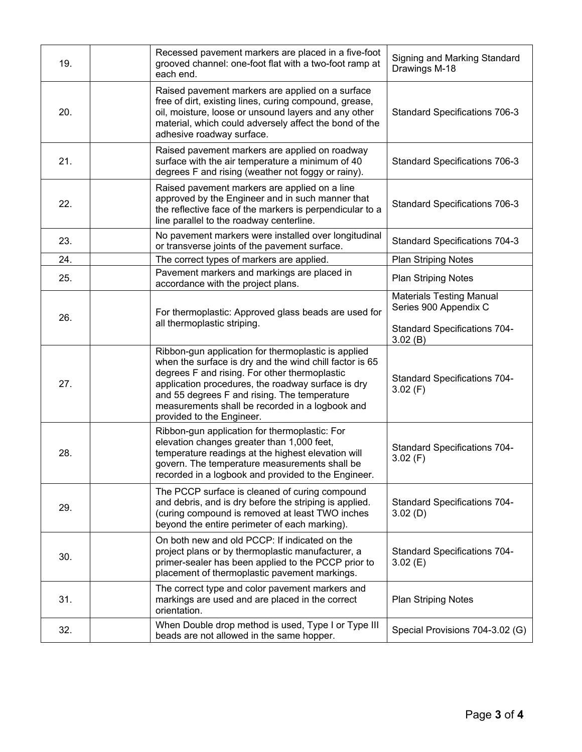| 19. | Recessed pavement markers are placed in a five-foot<br>grooved channel: one-foot flat with a two-foot ramp at<br>each end.                                                                                                                                                                                                                            | Signing and Marking Standard<br>Drawings M-18                                                              |
|-----|-------------------------------------------------------------------------------------------------------------------------------------------------------------------------------------------------------------------------------------------------------------------------------------------------------------------------------------------------------|------------------------------------------------------------------------------------------------------------|
| 20. | Raised pavement markers are applied on a surface<br>free of dirt, existing lines, curing compound, grease,<br>oil, moisture, loose or unsound layers and any other<br>material, which could adversely affect the bond of the<br>adhesive roadway surface.                                                                                             | <b>Standard Specifications 706-3</b>                                                                       |
| 21. | Raised pavement markers are applied on roadway<br>surface with the air temperature a minimum of 40<br>degrees F and rising (weather not foggy or rainy).                                                                                                                                                                                              | <b>Standard Specifications 706-3</b>                                                                       |
| 22. | Raised pavement markers are applied on a line<br>approved by the Engineer and in such manner that<br>the reflective face of the markers is perpendicular to a<br>line parallel to the roadway centerline.                                                                                                                                             | <b>Standard Specifications 706-3</b>                                                                       |
| 23. | No pavement markers were installed over longitudinal<br>or transverse joints of the pavement surface.                                                                                                                                                                                                                                                 | <b>Standard Specifications 704-3</b>                                                                       |
| 24. | The correct types of markers are applied.                                                                                                                                                                                                                                                                                                             | <b>Plan Striping Notes</b>                                                                                 |
| 25. | Pavement markers and markings are placed in<br>accordance with the project plans.                                                                                                                                                                                                                                                                     | <b>Plan Striping Notes</b>                                                                                 |
| 26. | For thermoplastic: Approved glass beads are used for<br>all thermoplastic striping.                                                                                                                                                                                                                                                                   | <b>Materials Testing Manual</b><br>Series 900 Appendix C<br><b>Standard Specifications 704-</b><br>3.02(B) |
| 27. | Ribbon-gun application for thermoplastic is applied<br>when the surface is dry and the wind chill factor is 65<br>degrees F and rising. For other thermoplastic<br>application procedures, the roadway surface is dry<br>and 55 degrees F and rising. The temperature<br>measurements shall be recorded in a logbook and<br>provided to the Engineer. | <b>Standard Specifications 704-</b><br>3.02(F)                                                             |
| 28. | Ribbon-gun application for thermoplastic: For<br>elevation changes greater than 1,000 feet,<br>temperature readings at the highest elevation will<br>govern. The temperature measurements shall be<br>recorded in a logbook and provided to the Engineer.                                                                                             | <b>Standard Specifications 704-</b><br>3.02(F)                                                             |
| 29. | The PCCP surface is cleaned of curing compound<br>and debris, and is dry before the striping is applied.<br>(curing compound is removed at least TWO inches<br>beyond the entire perimeter of each marking).                                                                                                                                          | <b>Standard Specifications 704-</b><br>3.02(D)                                                             |
| 30. | On both new and old PCCP: If indicated on the<br>project plans or by thermoplastic manufacturer, a<br>primer-sealer has been applied to the PCCP prior to<br>placement of thermoplastic pavement markings.                                                                                                                                            | <b>Standard Specifications 704-</b><br>3.02(E)                                                             |
| 31. | The correct type and color pavement markers and<br>markings are used and are placed in the correct<br>orientation.                                                                                                                                                                                                                                    | <b>Plan Striping Notes</b>                                                                                 |
| 32. | When Double drop method is used, Type I or Type III<br>beads are not allowed in the same hopper.                                                                                                                                                                                                                                                      | Special Provisions 704-3.02 (G)                                                                            |